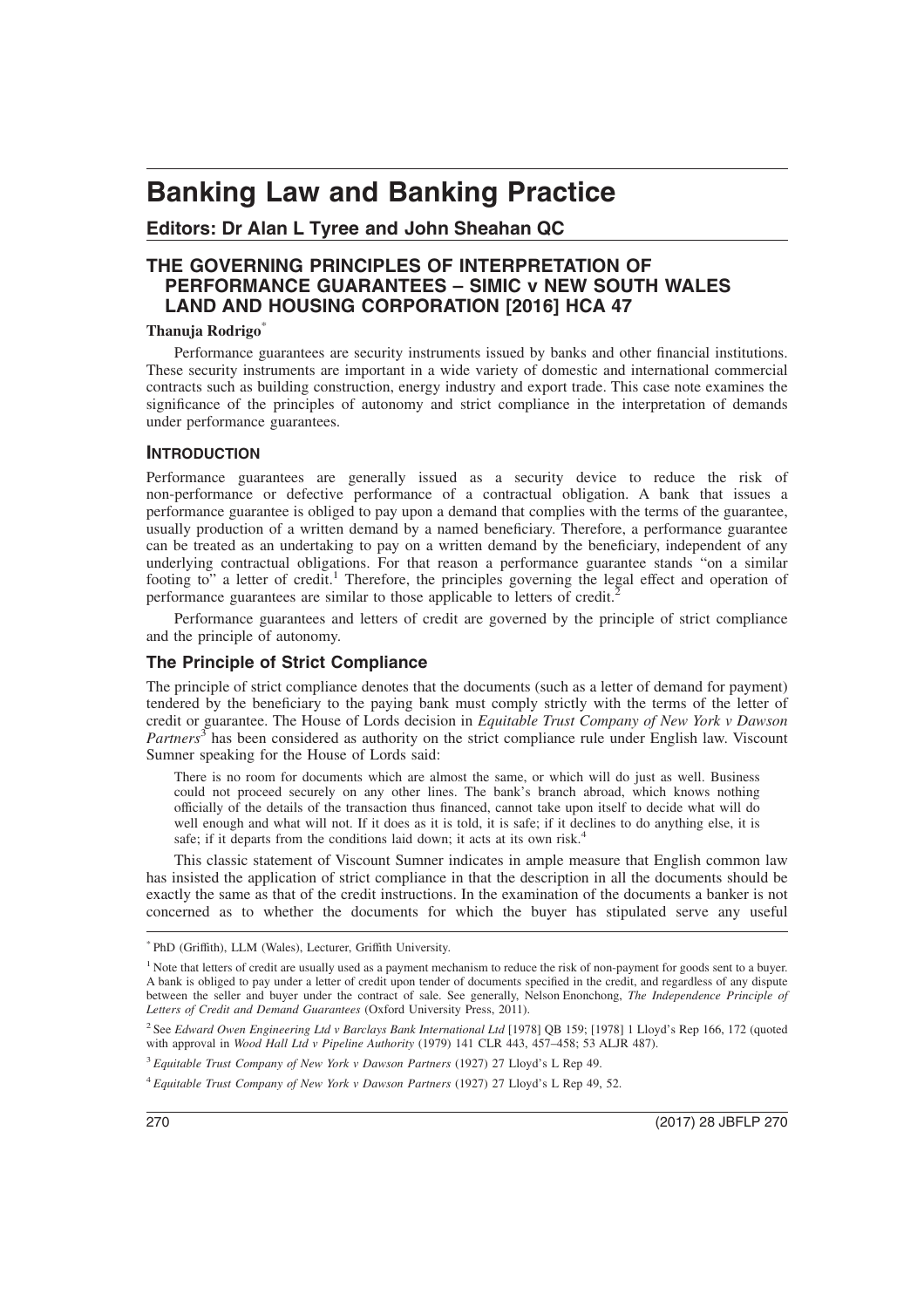# **Banking Law and Banking Practice**

# **Editors: Dr Alan L Tyree and John Sheahan QC**

# **THE GOVERNING PRINCIPLES OF INTERPRETATION OF PERFORMANCE GUARANTEES – SIMIC v NEW SOUTH WALES LAND AND HOUSING CORPORATION [2016] HCA 47**

#### **Thanuja Rodrigo**\*

Performance guarantees are security instruments issued by banks and other financial institutions. These security instruments are important in a wide variety of domestic and international commercial contracts such as building construction, energy industry and export trade. This case note examines the significance of the principles of autonomy and strict compliance in the interpretation of demands under performance guarantees.

#### **INTRODUCTION**

Performance guarantees are generally issued as a security device to reduce the risk of non-performance or defective performance of a contractual obligation. A bank that issues a performance guarantee is obliged to pay upon a demand that complies with the terms of the guarantee, usually production of a written demand by a named beneficiary. Therefore, a performance guarantee can be treated as an undertaking to pay on a written demand by the beneficiary, independent of any underlying contractual obligations. For that reason a performance guarantee stands "on a similar footing to" a letter of credit.<sup>1</sup> Therefore, the principles governing the legal effect and operation of performance guarantees are similar to those applicable to letters of credit.<sup>2</sup>

Performance guarantees and letters of credit are governed by the principle of strict compliance and the principle of autonomy.

## **The Principle of Strict Compliance**

The principle of strict compliance denotes that the documents (such as a letter of demand for payment) tendered by the beneficiary to the paying bank must comply strictly with the terms of the letter of credit or guarantee. The House of Lords decision in *Equitable Trust Company of New York v Dawson* Partners<sup>3</sup> has been considered as authority on the strict compliance rule under English law. Viscount Sumner speaking for the House of Lords said:

There is no room for documents which are almost the same, or which will do just as well. Business could not proceed securely on any other lines. The bank's branch abroad, which knows nothing officially of the details of the transaction thus financed, cannot take upon itself to decide what will do well enough and what will not. If it does as it is told, it is safe; if it declines to do anything else, it is safe; if it departs from the conditions laid down; it acts at its own risk.<sup>4</sup>

This classic statement of Viscount Sumner indicates in ample measure that English common law has insisted the application of strict compliance in that the description in all the documents should be exactly the same as that of the credit instructions. In the examination of the documents a banker is not concerned as to whether the documents for which the buyer has stipulated serve any useful

<sup>\*</sup> PhD (Griffith), LLM (Wales), Lecturer, Griffith University.

<sup>&</sup>lt;sup>1</sup> Note that letters of credit are usually used as a payment mechanism to reduce the risk of non-payment for goods sent to a buyer. A bank is obliged to pay under a letter of credit upon tender of documents specified in the credit, and regardless of any dispute between the seller and buyer under the contract of sale. See generally, Nelson Enonchong, *The Independence Principle of Letters of Credit and Demand Guarantees* (Oxford University Press, 2011).

<sup>2</sup> See *Edward Owen Engineering Ltd v Barclays Bank International Ltd* [1978] QB 159; [1978] 1 Lloyd's Rep 166, 172 (quoted with approval in *Wood Hall Ltd v Pipeline Authority* (1979) 141 CLR 443, 457–458; 53 ALJR 487).

<sup>3</sup> *Equitable Trust Company of New York v Dawson Partners* (1927) 27 Lloyd's L Rep 49.

<sup>4</sup> *Equitable Trust Company of New York v Dawson Partners* (1927) 27 Lloyd's L Rep 49, 52.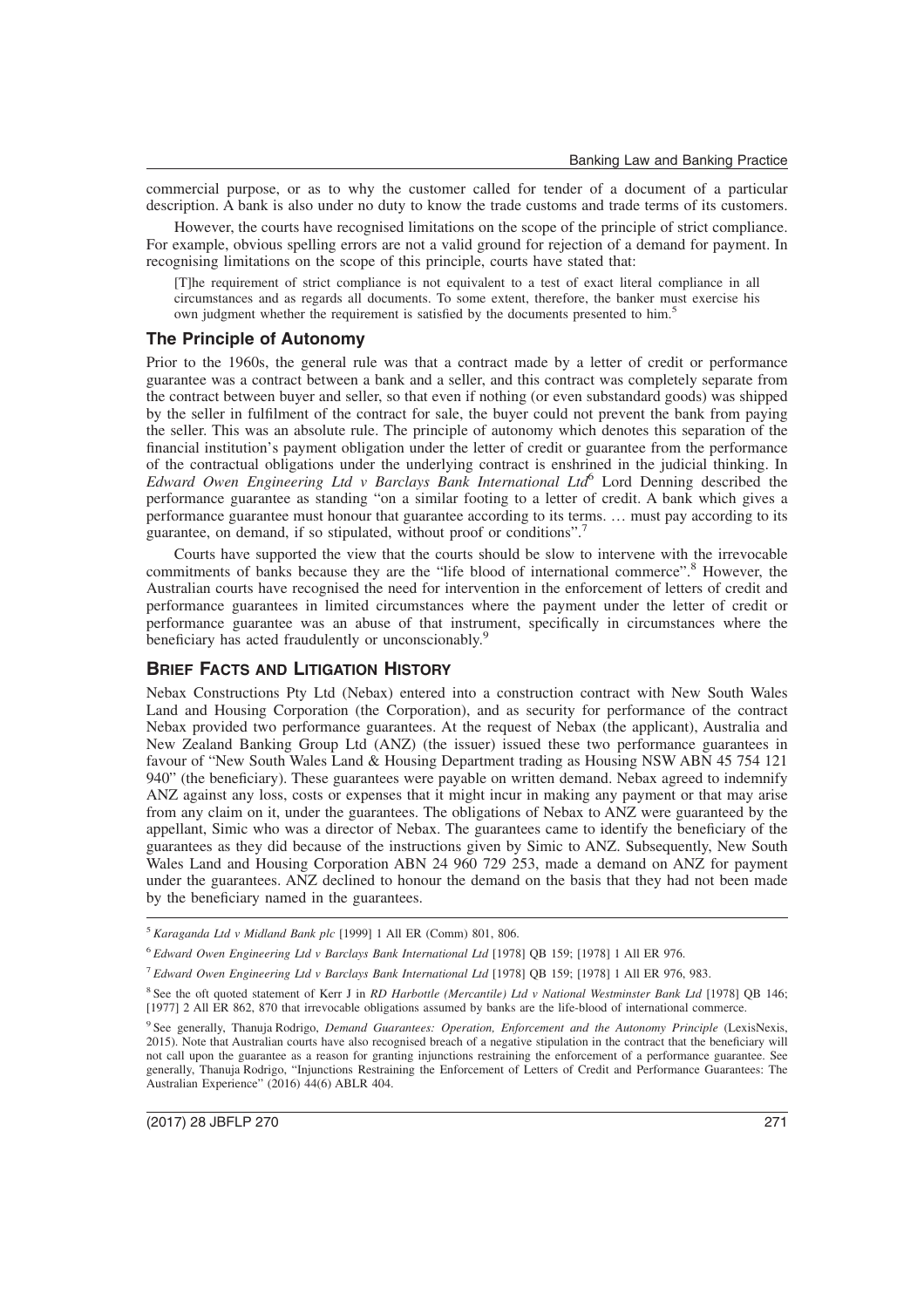commercial purpose, or as to why the customer called for tender of a document of a particular description. A bank is also under no duty to know the trade customs and trade terms of its customers.

However, the courts have recognised limitations on the scope of the principle of strict compliance. For example, obvious spelling errors are not a valid ground for rejection of a demand for payment. In recognising limitations on the scope of this principle, courts have stated that:

[T]he requirement of strict compliance is not equivalent to a test of exact literal compliance in all circumstances and as regards all documents. To some extent, therefore, the banker must exercise his own judgment whether the requirement is satisfied by the documents presented to him.<sup>5</sup>

#### **The Principle of Autonomy**

Prior to the 1960s, the general rule was that a contract made by a letter of credit or performance guarantee was a contract between a bank and a seller, and this contract was completely separate from the contract between buyer and seller, so that even if nothing (or even substandard goods) was shipped by the seller in fulfilment of the contract for sale, the buyer could not prevent the bank from paying the seller. This was an absolute rule. The principle of autonomy which denotes this separation of the financial institution's payment obligation under the letter of credit or guarantee from the performance of the contractual obligations under the underlying contract is enshrined in the judicial thinking. In *Edward Owen Engineering Ltd v Barclays Bank International Ltd*<sup>6</sup> Lord Denning described the performance guarantee as standing "on a similar footing to a letter of credit. A bank which gives a performance guarantee must honour that guarantee according to its terms. … must pay according to its guarantee, on demand, if so stipulated, without proof or conditions".<sup>7</sup>

Courts have supported the view that the courts should be slow to intervene with the irrevocable commitments of banks because they are the "life blood of international commerce".<sup>8</sup> However, the Australian courts have recognised the need for intervention in the enforcement of letters of credit and performance guarantees in limited circumstances where the payment under the letter of credit or performance guarantee was an abuse of that instrument, specifically in circumstances where the beneficiary has acted fraudulently or unconscionably.<sup>9</sup>

## **BRIEF FACTS AND LITIGATION HISTORY**

Nebax Constructions Pty Ltd (Nebax) entered into a construction contract with New South Wales Land and Housing Corporation (the Corporation), and as security for performance of the contract Nebax provided two performance guarantees. At the request of Nebax (the applicant), Australia and New Zealand Banking Group Ltd (ANZ) (the issuer) issued these two performance guarantees in favour of "New South Wales Land & Housing Department trading as Housing NSW ABN 45 754 121 940" (the beneficiary). These guarantees were payable on written demand. Nebax agreed to indemnify ANZ against any loss, costs or expenses that it might incur in making any payment or that may arise from any claim on it, under the guarantees. The obligations of Nebax to ANZ were guaranteed by the appellant, Simic who was a director of Nebax. The guarantees came to identify the beneficiary of the guarantees as they did because of the instructions given by Simic to ANZ. Subsequently, New South Wales Land and Housing Corporation ABN 24 960 729 253, made a demand on ANZ for payment under the guarantees. ANZ declined to honour the demand on the basis that they had not been made by the beneficiary named in the guarantees.

<sup>5</sup> *Karaganda Ltd v Midland Bank plc* [1999] 1 All ER (Comm) 801, 806.

<sup>6</sup> *Edward Owen Engineering Ltd v Barclays Bank International Ltd* [1978] QB 159; [1978] 1 All ER 976.

<sup>7</sup> *Edward Owen Engineering Ltd v Barclays Bank International Ltd* [1978] QB 159; [1978] 1 All ER 976, 983.

<sup>8</sup> See the oft quoted statement of Kerr J in *RD Harbottle (Mercantile) Ltd v National Westminster Bank Ltd* [1978] QB 146; [1977] 2 All ER 862, 870 that irrevocable obligations assumed by banks are the life-blood of international commerce.

<sup>9</sup> See generally, Thanuja Rodrigo, *Demand Guarantees: Operation, Enforcement and the Autonomy Principle* (LexisNexis, 2015). Note that Australian courts have also recognised breach of a negative stipulation in the contract that the beneficiary will not call upon the guarantee as a reason for granting injunctions restraining the enforcement of a performance guarantee. See generally, Thanuja Rodrigo, "Injunctions Restraining the Enforcement of Letters of Credit and Performance Guarantees: The Australian Experience" (2016) 44(6) ABLR 404.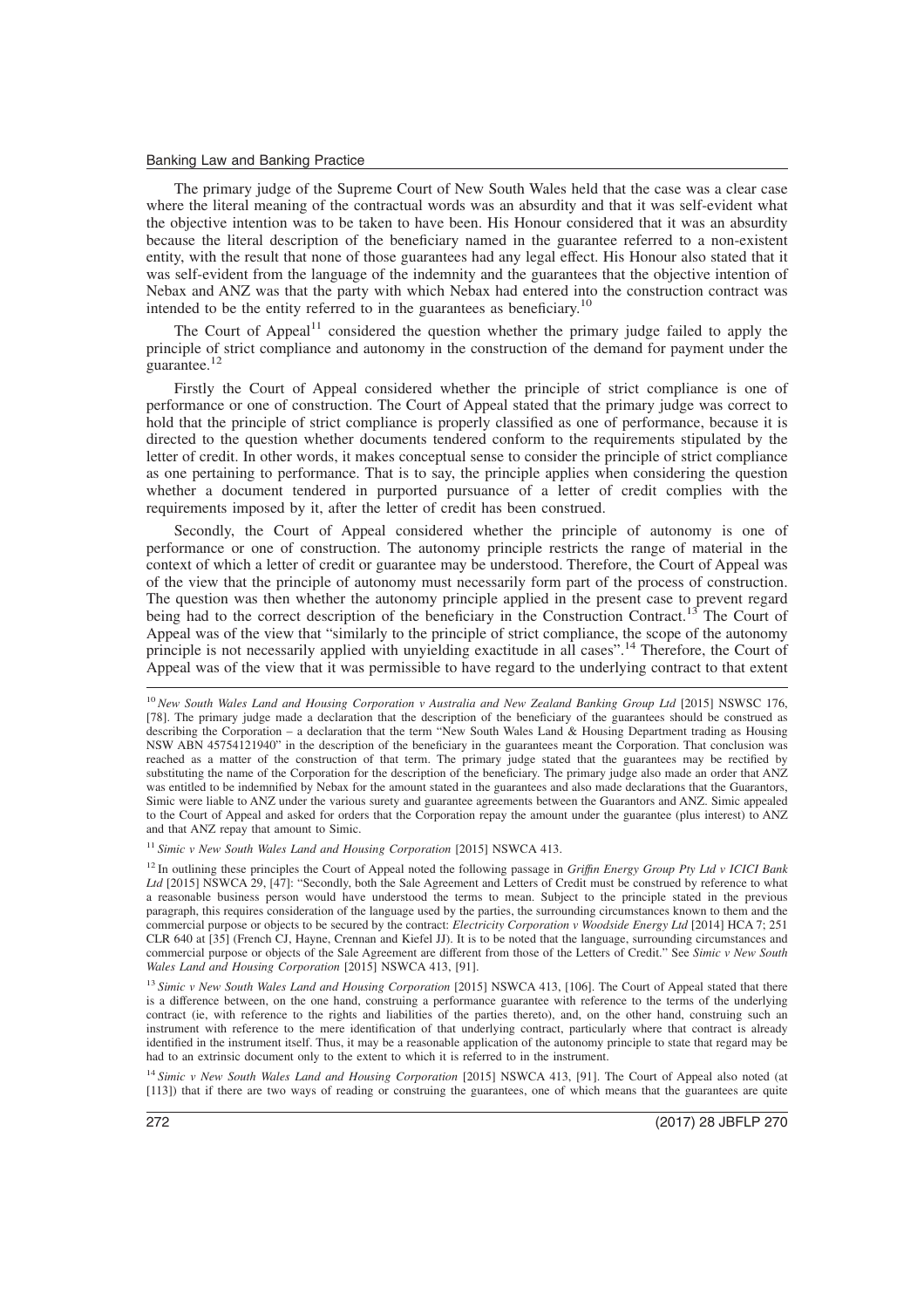#### Banking Law and Banking Practice

The primary judge of the Supreme Court of New South Wales held that the case was a clear case where the literal meaning of the contractual words was an absurdity and that it was self-evident what the objective intention was to be taken to have been. His Honour considered that it was an absurdity because the literal description of the beneficiary named in the guarantee referred to a non-existent entity, with the result that none of those guarantees had any legal effect. His Honour also stated that it was self-evident from the language of the indemnity and the guarantees that the objective intention of Nebax and ANZ was that the party with which Nebax had entered into the construction contract was intended to be the entity referred to in the guarantees as beneficiary.<sup>10</sup>

The Court of Appeal $11$  considered the question whether the primary judge failed to apply the principle of strict compliance and autonomy in the construction of the demand for payment under the guarantee.<sup>12</sup>

Firstly the Court of Appeal considered whether the principle of strict compliance is one of performance or one of construction. The Court of Appeal stated that the primary judge was correct to hold that the principle of strict compliance is properly classified as one of performance, because it is directed to the question whether documents tendered conform to the requirements stipulated by the letter of credit. In other words, it makes conceptual sense to consider the principle of strict compliance as one pertaining to performance. That is to say, the principle applies when considering the question whether a document tendered in purported pursuance of a letter of credit complies with the requirements imposed by it, after the letter of credit has been construed.

Secondly, the Court of Appeal considered whether the principle of autonomy is one of performance or one of construction. The autonomy principle restricts the range of material in the context of which a letter of credit or guarantee may be understood. Therefore, the Court of Appeal was of the view that the principle of autonomy must necessarily form part of the process of construction. The question was then whether the autonomy principle applied in the present case to prevent regard being had to the correct description of the beneficiary in the Construction Contract.<sup>13</sup> The Court of Appeal was of the view that "similarly to the principle of strict compliance, the scope of the autonomy principle is not necessarily applied with unyielding exactitude in all cases".<sup>14</sup> Therefore, the Court of Appeal was of the view that it was permissible to have regard to the underlying contract to that extent

<sup>11</sup> *Simic v New South Wales Land and Housing Corporation* [2015] NSWCA 413.

<sup>12</sup> In outlining these principles the Court of Appeal noted the following passage in *Griffın Energy Group Pty Ltd v ICICI Bank* Ltd [2015] NSWCA 29, [47]: "Secondly, both the Sale Agreement and Letters of Credit must be construed by reference to what a reasonable business person would have understood the terms to mean. Subject to the principle stated in the previous paragraph, this requires consideration of the language used by the parties, the surrounding circumstances known to them and the commercial purpose or objects to be secured by the contract: *Electricity Corporation v Woodside Energy Ltd* [2014] HCA 7; 251 CLR 640 at [35] (French CJ, Hayne, Crennan and Kiefel JJ). It is to be noted that the language, surrounding circumstances and commercial purpose or objects of the Sale Agreement are different from those of the Letters of Credit." See *Simic v New South Wales Land and Housing Corporation* [2015] NSWCA 413, [91].

<sup>13</sup> Simic v New South Wales Land and Housing Corporation [2015] NSWCA 413, [106]. The Court of Appeal stated that there is a difference between, on the one hand, construing a performance guarantee with reference to the terms of the underlying contract (ie, with reference to the rights and liabilities of the parties thereto), and, on the other hand, construing such an instrument with reference to the mere identification of that underlying contract, particularly where that contract is already identified in the instrument itself. Thus, it may be a reasonable application of the autonomy principle to state that regard may be had to an extrinsic document only to the extent to which it is referred to in the instrument.

<sup>14</sup> Simic v New South Wales Land and Housing Corporation [2015] NSWCA 413, [91]. The Court of Appeal also noted (at [113]) that if there are two ways of reading or construing the guarantees, one of which means that the guarantees are quite

<sup>10</sup> *New South Wales Land and Housing Corporation v Australia and New Zealand Banking Group Ltd* [2015] NSWSC 176, [78]. The primary judge made a declaration that the description of the beneficiary of the guarantees should be construed as describing the Corporation – a declaration that the term "New South Wales Land & Housing Department trading as Housing NSW ABN 45754121940" in the description of the beneficiary in the guarantees meant the Corporation. That conclusion was reached as a matter of the construction of that term. The primary judge stated that the guarantees may be rectified by substituting the name of the Corporation for the description of the beneficiary. The primary judge also made an order that ANZ was entitled to be indemnified by Nebax for the amount stated in the guarantees and also made declarations that the Guarantors, Simic were liable to ANZ under the various surety and guarantee agreements between the Guarantors and ANZ. Simic appealed to the Court of Appeal and asked for orders that the Corporation repay the amount under the guarantee (plus interest) to ANZ and that ANZ repay that amount to Simic.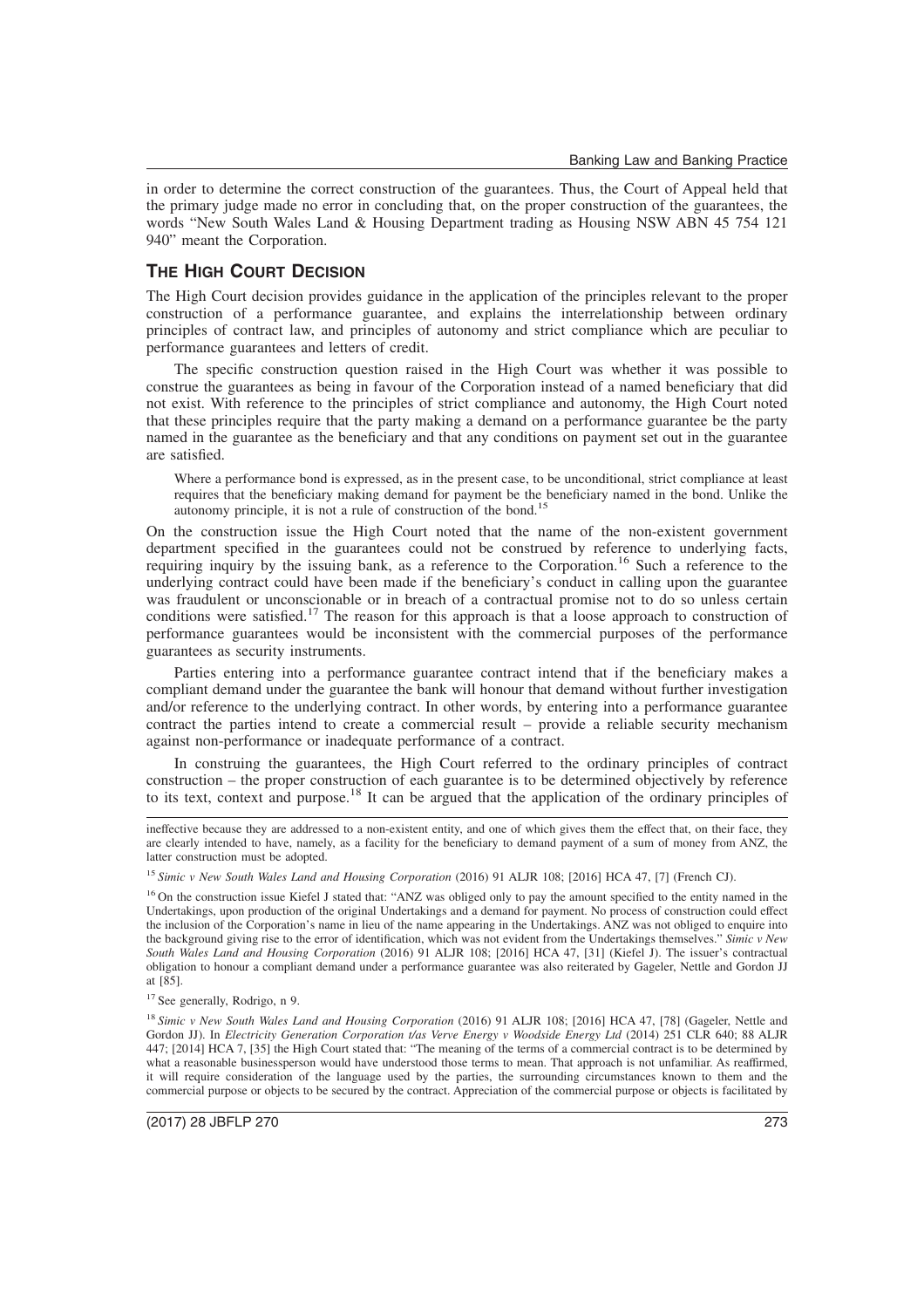in order to determine the correct construction of the guarantees. Thus, the Court of Appeal held that the primary judge made no error in concluding that, on the proper construction of the guarantees, the words "New South Wales Land & Housing Department trading as Housing NSW ABN 45 754 121 940" meant the Corporation.

### **THE HIGH COURT DECISION**

The High Court decision provides guidance in the application of the principles relevant to the proper construction of a performance guarantee, and explains the interrelationship between ordinary principles of contract law, and principles of autonomy and strict compliance which are peculiar to performance guarantees and letters of credit.

The specific construction question raised in the High Court was whether it was possible to construe the guarantees as being in favour of the Corporation instead of a named beneficiary that did not exist. With reference to the principles of strict compliance and autonomy, the High Court noted that these principles require that the party making a demand on a performance guarantee be the party named in the guarantee as the beneficiary and that any conditions on payment set out in the guarantee are satisfied.

Where a performance bond is expressed, as in the present case, to be unconditional, strict compliance at least requires that the beneficiary making demand for payment be the beneficiary named in the bond. Unlike the autonomy principle, it is not a rule of construction of the bond.<sup>15</sup>

On the construction issue the High Court noted that the name of the non-existent government department specified in the guarantees could not be construed by reference to underlying facts, requiring inquiry by the issuing bank, as a reference to the Corporation.<sup>16</sup> Such a reference to the underlying contract could have been made if the beneficiary's conduct in calling upon the guarantee was fraudulent or unconscionable or in breach of a contractual promise not to do so unless certain conditions were satisfied.<sup>17</sup> The reason for this approach is that a loose approach to construction of performance guarantees would be inconsistent with the commercial purposes of the performance guarantees as security instruments.

Parties entering into a performance guarantee contract intend that if the beneficiary makes a compliant demand under the guarantee the bank will honour that demand without further investigation and/or reference to the underlying contract. In other words, by entering into a performance guarantee contract the parties intend to create a commercial result – provide a reliable security mechanism against non-performance or inadequate performance of a contract.

In construing the guarantees, the High Court referred to the ordinary principles of contract construction – the proper construction of each guarantee is to be determined objectively by reference to its text, context and purpose.<sup>18</sup> It can be argued that the application of the ordinary principles of

ineffective because they are addressed to a non-existent entity, and one of which gives them the effect that, on their face, they are clearly intended to have, namely, as a facility for the beneficiary to demand payment of a sum of money from ANZ, the latter construction must be adopted.

<sup>15</sup> *Simic v New South Wales Land and Housing Corporation* (2016) 91 ALJR 108; [2016] HCA 47, [7] (French CJ).

<sup>16</sup> On the construction issue Kiefel J stated that: "ANZ was obliged only to pay the amount specified to the entity named in the Undertakings, upon production of the original Undertakings and a demand for payment. No process of construction could effect the inclusion of the Corporation's name in lieu of the name appearing in the Undertakings. ANZ was not obliged to enquire into the background giving rise to the error of identification, which was not evident from the Undertakings themselves." *Simic v New South Wales Land and Housing Corporation* (2016) 91 ALJR 108; [2016] HCA 47, [31] (Kiefel J). The issuer's contractual obligation to honour a compliant demand under a performance guarantee was also reiterated by Gageler, Nettle and Gordon JJ at [85].

<sup>17</sup> See generally, Rodrigo, n 9.

<sup>18</sup> *Simic v New South Wales Land and Housing Corporation* (2016) 91 ALJR 108; [2016] HCA 47, [78] (Gageler, Nettle and Gordon JJ). In *Electricity Generation Corporation t/as Verve Energy v Woodside Energy Ltd* (2014) 251 CLR 640; 88 ALJR 447; [2014] HCA 7, [35] the High Court stated that: "The meaning of the terms of a commercial contract is to be determined by what a reasonable businessperson would have understood those terms to mean. That approach is not unfamiliar. As reaffirmed, it will require consideration of the language used by the parties, the surrounding circumstances known to them and the commercial purpose or objects to be secured by the contract. Appreciation of the commercial purpose or objects is facilitated by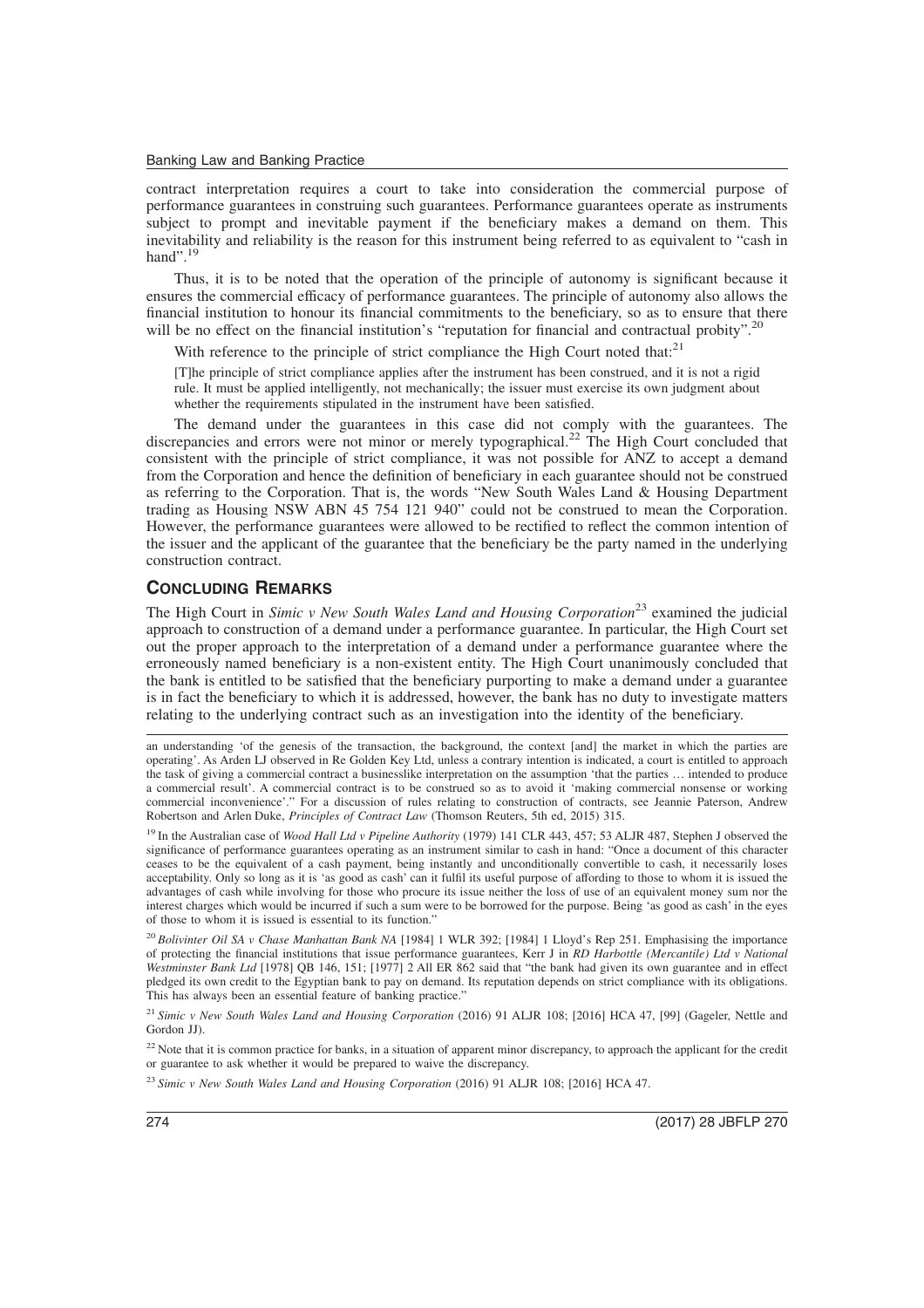contract interpretation requires a court to take into consideration the commercial purpose of performance guarantees in construing such guarantees. Performance guarantees operate as instruments subject to prompt and inevitable payment if the beneficiary makes a demand on them. This inevitability and reliability is the reason for this instrument being referred to as equivalent to "cash in hand". $^{19}$ 

Thus, it is to be noted that the operation of the principle of autonomy is significant because it ensures the commercial efficacy of performance guarantees. The principle of autonomy also allows the financial institution to honour its financial commitments to the beneficiary, so as to ensure that there will be no effect on the financial institution's "reputation for financial and contractual probity".<sup>20</sup>

With reference to the principle of strict compliance the High Court noted that:<sup>21</sup>

[T]he principle of strict compliance applies after the instrument has been construed, and it is not a rigid rule. It must be applied intelligently, not mechanically; the issuer must exercise its own judgment about whether the requirements stipulated in the instrument have been satisfied.

The demand under the guarantees in this case did not comply with the guarantees. The discrepancies and errors were not minor or merely typographical.<sup>22</sup> The High Court concluded that consistent with the principle of strict compliance, it was not possible for ANZ to accept a demand from the Corporation and hence the definition of beneficiary in each guarantee should not be construed as referring to the Corporation. That is, the words "New South Wales Land & Housing Department trading as Housing NSW ABN 45 754 121 940" could not be construed to mean the Corporation. However, the performance guarantees were allowed to be rectified to reflect the common intention of the issuer and the applicant of the guarantee that the beneficiary be the party named in the underlying construction contract.

#### **CONCLUDING REMARKS**

The High Court in *Simic v New South Wales Land and Housing Corporation*<sup>23</sup> examined the judicial approach to construction of a demand under a performance guarantee. In particular, the High Court set out the proper approach to the interpretation of a demand under a performance guarantee where the erroneously named beneficiary is a non-existent entity. The High Court unanimously concluded that the bank is entitled to be satisfied that the beneficiary purporting to make a demand under a guarantee is in fact the beneficiary to which it is addressed, however, the bank has no duty to investigate matters relating to the underlying contract such as an investigation into the identity of the beneficiary.

<sup>19</sup> In the Australian case of *Wood Hall Ltd v Pipeline Authority* (1979) 141 CLR 443, 457; 53 ALJR 487, Stephen J observed the significance of performance guarantees operating as an instrument similar to cash in hand: "Once a document of this character ceases to be the equivalent of a cash payment, being instantly and unconditionally convertible to cash, it necessarily loses acceptability. Only so long as it is 'as good as cash' can it fulfil its useful purpose of affording to those to whom it is issued the advantages of cash while involving for those who procure its issue neither the loss of use of an equivalent money sum nor the interest charges which would be incurred if such a sum were to be borrowed for the purpose. Being 'as good as cash' in the eyes of those to whom it is issued is essential to its function."

<sup>20</sup> *Bolivinter Oil SA v Chase Manhattan Bank NA* [1984] 1 WLR 392; [1984] 1 Lloyd's Rep 251. Emphasising the importance of protecting the financial institutions that issue performance guarantees, Kerr J in *RD Harbottle (Mercantile) Ltd v National Westminster Bank Ltd* [1978] QB 146, 151; [1977] 2 All ER 862 said that "the bank had given its own guarantee and in effect pledged its own credit to the Egyptian bank to pay on demand. Its reputation depends on strict compliance with its obligations. This has always been an essential feature of banking practice."

<sup>21</sup> Simic v New South Wales Land and Housing Corporation (2016) 91 ALJR 108; [2016] HCA 47, [99] (Gageler, Nettle and Gordon JJ).

<sup>22</sup> Note that it is common practice for banks, in a situation of apparent minor discrepancy, to approach the applicant for the credit or guarantee to ask whether it would be prepared to waive the discrepancy.

<sup>23</sup> *Simic v New South Wales Land and Housing Corporation* (2016) 91 ALJR 108; [2016] HCA 47.

an understanding 'of the genesis of the transaction, the background, the context [and] the market in which the parties are operating'. As Arden LJ observed in Re Golden Key Ltd, unless a contrary intention is indicated, a court is entitled to approach the task of giving a commercial contract a businesslike interpretation on the assumption 'that the parties … intended to produce a commercial result'. A commercial contract is to be construed so as to avoid it 'making commercial nonsense or working commercial inconvenience'." For a discussion of rules relating to construction of contracts, see Jeannie Paterson, Andrew Robertson and Arlen Duke, *Principles of Contract Law* (Thomson Reuters, 5th ed, 2015) 315.